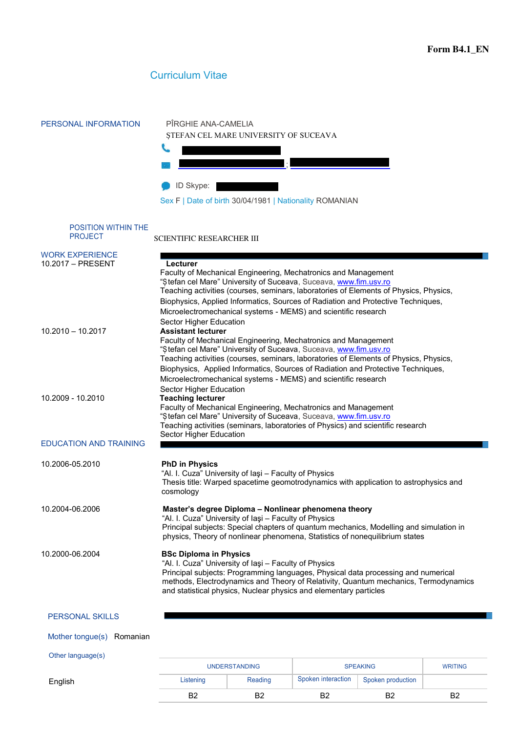

# Curriculum Vitae

| PERSONAL INFORMATION                         | PÎRGHIE ANA-CAMELIA<br>STEFAN CEL MARE UNIVERSITY OF SUCEAVA                                                                                                                                                                                                                                                                                                                                                             |  |  |  |  |  |  |
|----------------------------------------------|--------------------------------------------------------------------------------------------------------------------------------------------------------------------------------------------------------------------------------------------------------------------------------------------------------------------------------------------------------------------------------------------------------------------------|--|--|--|--|--|--|
|                                              | ID Skype:<br>Sex F   Date of birth 30/04/1981   Nationality ROMANIAN                                                                                                                                                                                                                                                                                                                                                     |  |  |  |  |  |  |
| <b>POSITION WITHIN THE</b><br><b>PROJECT</b> | <b>SCIENTIFIC RESEARCHER III</b>                                                                                                                                                                                                                                                                                                                                                                                         |  |  |  |  |  |  |
| <b>WORK EXPERIENCE</b><br>10.2017 - PRESENT  | Lecturer<br>Faculty of Mechanical Engineering, Mechatronics and Management<br>"Stefan cel Mare" University of Suceava, Suceava, www.fim.usv.ro<br>Teaching activities (courses, seminars, laboratories of Elements of Physics, Physics,<br>Biophysics, Applied Informatics, Sources of Radiation and Protective Techniques,<br>Microelectromechanical systems - MEMS) and scientific research<br>Sector Higher Education |  |  |  |  |  |  |
| $10.2010 - 10.2017$                          | <b>Assistant lecturer</b><br>Faculty of Mechanical Engineering, Mechatronics and Management<br>"Stefan cel Mare" University of Suceava, Suceava, www.fim.usv.ro<br>Teaching activities (courses, seminars, laboratories of Elements of Physics, Physics,<br>Biophysics, Applied Informatics, Sources of Radiation and Protective Techniques,<br>Microelectromechanical systems - MEMS) and scientific research           |  |  |  |  |  |  |
| 10.2009 - 10.2010                            | Sector Higher Education<br><b>Teaching lecturer</b><br>Faculty of Mechanical Engineering, Mechatronics and Management<br>"Stefan cel Mare" University of Suceava, Suceava, www.fim.usv.ro<br>Teaching activities (seminars, laboratories of Physics) and scientific research                                                                                                                                             |  |  |  |  |  |  |
| <b>EDUCATION AND TRAINING</b>                | Sector Higher Education                                                                                                                                                                                                                                                                                                                                                                                                  |  |  |  |  |  |  |
| 10.2006-05.2010                              | <b>PhD in Physics</b><br>"Al. I. Cuza" University of lasi - Faculty of Physics<br>Thesis title: Warped spacetime geomotrodynamics with application to astrophysics and<br>cosmology                                                                                                                                                                                                                                      |  |  |  |  |  |  |
| 10.2004-06.2006                              | Master's degree Diploma - Nonlinear phenomena theory<br>"Al. I. Cuza" University of Iaşi - Faculty of Physics<br>Principal subjects: Special chapters of quantum mechanics, Modelling and simulation in<br>physics, Theory of nonlinear phenomena, Statistics of nonequilibrium states                                                                                                                                   |  |  |  |  |  |  |
| 10.2000-06.2004                              | <b>BSc Diploma in Physics</b><br>"Al. I. Cuza" University of Iaşi - Faculty of Physics<br>Principal subjects: Programming languages, Physical data processing and numerical<br>methods, Electrodynamics and Theory of Relativity, Quantum mechanics, Termodynamics<br>and statistical physics, Nuclear physics and elementary particles                                                                                  |  |  |  |  |  |  |
| <b>PERSONAL SKILLS</b>                       |                                                                                                                                                                                                                                                                                                                                                                                                                          |  |  |  |  |  |  |
| Mother tongue(s) Romanian                    |                                                                                                                                                                                                                                                                                                                                                                                                                          |  |  |  |  |  |  |
| Other language(s)                            | MDITBIO                                                                                                                                                                                                                                                                                                                                                                                                                  |  |  |  |  |  |  |

**English** 

| <b>UNDERSTANDING</b> |         | <b>SPEAKING</b>    |                   | <b>WRITING</b> |
|----------------------|---------|--------------------|-------------------|----------------|
| Listening            | Reading | Spoken interaction | Spoken production |                |
| R1                   | o∙      | n.                 | B2                | B2             |
|                      |         |                    |                   |                |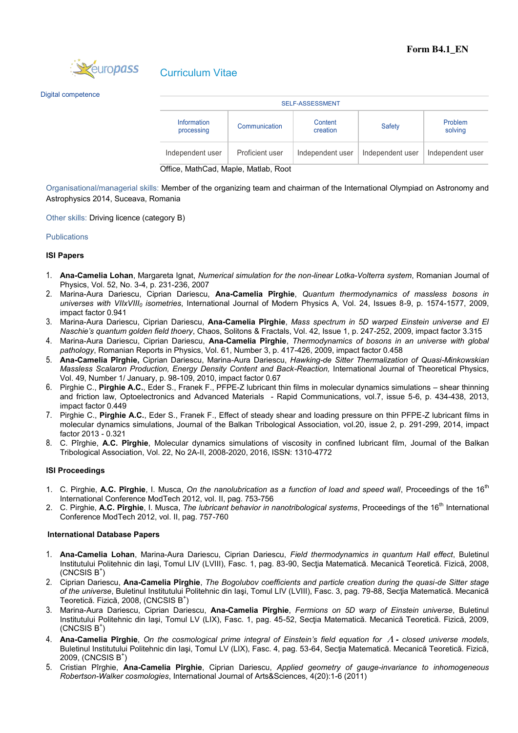

Digital competence

| <b>SELF-ASSESSMENT</b>    |                 |                     |                  |                    |  |  |  |  |
|---------------------------|-----------------|---------------------|------------------|--------------------|--|--|--|--|
| Information<br>processing | Communication   | Content<br>creation |                  | Problem<br>solving |  |  |  |  |
| Independent user          | Proficient user | Independent user    | Independent user | Independent user   |  |  |  |  |

Office, MathCad, Maple, Matlab, Root

Organisational/managerial skills: Member of the organizing team and chairman of the International Olympiad on Astronomy and Astrophysics 2014, Suceava, Romania

Other skills: Driving licence (category B)

## **Publications**

# **ISI Papers**

- 1. **Ana-Camelia Lohan**, Margareta Ignat, *Numerical simulation for the non-linear Lotka-Volterra system*, Romanian Journal of Physics, Vol. 52, No. 3-4, p. 231-236, 2007
- 2. Marina-Aura Dariescu, Ciprian Dariescu, **Ana-Camelia Pîrghie**, *Quantum thermodynamics of massless bosons in universes with VIIxVIII0 isometries*, International Journal of Modern Physics A, Vol. 24, Issues 8-9, p. 1574-1577, 2009, impact factor 0.941
- 3. Marina-Aura Dariescu, Ciprian Dariescu, **Ana-Camelia Pîrghie**, *Mass spectrum in 5D warped Einstein universe and El Naschie's quantum golden field thoery*, Chaos, Solitons & Fractals, Vol. 42, Issue 1, p. 247-252, 2009, impact factor 3.315
- 4. Marina-Aura Dariescu, Ciprian Dariescu, **Ana-Camelia Pîrghie**, *Thermodynamics of bosons in an universe with global pathology*, Romanian Reports in Physics, Vol. 61, Number 3, p. 417-426, 2009, impact factor 0.458
- 5. **Ana-Camelia Pîrghie,** Ciprian Dariescu, Marina-Aura Dariescu, *Hawking-de Sitter Thermalization of Quasi-Minkowskian Massless Scalaron Production, Energy Density Content and Back-Reaction, International Journal of Theoretical Physics,* Vol. 49, Number 1/ January, p. 98-109, 2010, impact factor 0.67
- 6. Pirghie C., **Pirghie A.C.**, Eder S., Franek F., PFPE-Z lubricant thin films in molecular dynamics simulations shear thinning and friction law, Optoelectronics and Advanced Materials - Rapid Communications, vol.7, issue 5-6, p. 434-438, 2013, impact factor 0.449
- 7. Pirghie C., **Pirghie A.C.**, Eder S., Franek F., Effect of steady shear and loading pressure on thin PFPE-Z lubricant films in molecular dynamics simulations, Journal of the Balkan Tribological Association, vol.20, issue 2, p. 291-299, 2014, impact factor 2013 - 0.321
- 8. C. Pîrghie, **A.C. Pîrghie**, Molecular dynamics simulations of viscosity in confined lubricant film, Journal of the Balkan Tribological Association, Vol. 22, No 2A-II, 2008-2020, 2016, ISSN: 1310-4772

## **ISI Proceedings**

- 1. C. Pirghie, A.C. Pîrghie, I. Musca, *On the nanolubrication as a function of load and speed wall*, Proceedings of the 16<sup>th</sup> International Conference ModTech 2012, vol. II, pag. 753-756
- 2. C. Pirghie, A.C. Pîrghie, I. Musca, The lubricant behavior in nanotribological systems, Proceedings of the 16<sup>th</sup> International Conference ModTech 2012, vol. II, pag. 757-760

## **International Database Papers**

- 1. **Ana-Camelia Lohan**, Marina-Aura Dariescu, Ciprian Dariescu, *Field thermodynamics in quantum Hall effect*, Buletinul Institutului Politehnic din Iaşi, Tomul LIV (LVIII), Fasc. 1, pag. 83-90, Secţia Matematică. Mecanică Teoretică. Fizică, 2008,  $(CNCSIS B^+)$
- 2. Ciprian Dariescu, **Ana-Camelia Pîrghie**, *The Bogolubov coefficients and particle creation during the quasi-de Sitter stage of the universe*, Buletinul Institutului Politehnic din Iași, Tomul LIV (LVIII), Fasc. 3, pag. 79-88, Sectia Matematică, Mecanică Teoretică. Fizică, 2008, (CNCSIS B<sup>+</sup>)
- 3. Marina-Aura Dariescu, Ciprian Dariescu, **Ana-Camelia Pîrghie**, *Fermions on 5D warp of Einstein universe*, Buletinul Institutului Politehnic din Iaşi, Tomul LV (LIX), Fasc. 1, pag. 45-52, Secţia Matematică. Mecanică Teoretică. Fizică, 2009,  $(CNCSIS B^+)$
- 4. **Ana-Camelia Pîrghie**, *On the cosmological prime integral of Einstein's field equation for closed universe models*, Buletinul Institutului Politehnic din Iaşi, Tomul LV (LIX), Fasc. 4, pag. 53-64, Secţia Matematică. Mecanică Teoretică. Fizică, 2009, (CNCSIS B<sup>+</sup>)
- 5. Cristian Pîrghie, **Ana-Camelia Pîrghie**, Ciprian Dariescu, *Applied geometry of gauge-invariance to inhomogeneous Robertson-Walker cosmologies*, International Journal of Arts&Sciences, 4(20):1-6 (2011)